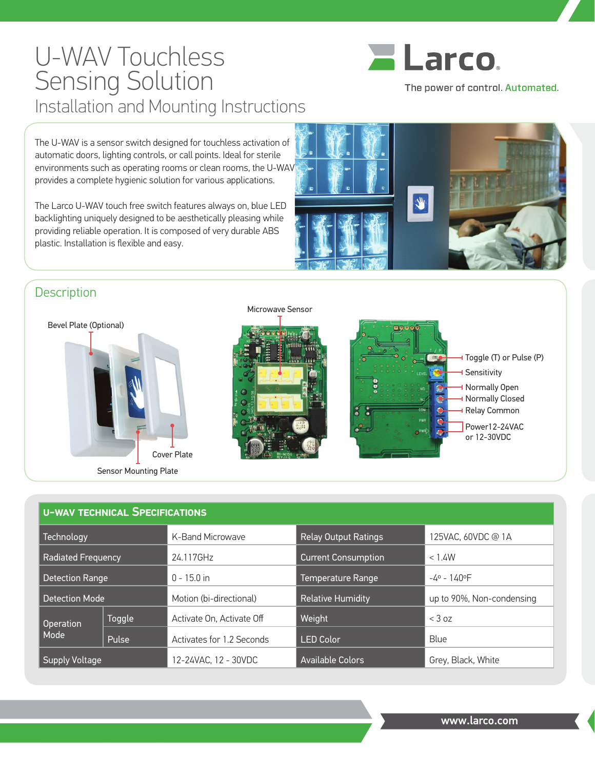## U-WAV Touchless Sensing Solution Installation and Mounting Instructions



The power of control. Automated.

The U-WAV is a sensor switch designed for touchless activation of automatic doors, lighting controls, or call points. Ideal for sterile environments such as operating rooms or clean rooms, the U-WAV provides a complete hygienic solution for various applications.

The Larco U-WAV touch free switch features always on, blue LED backlighting uniquely designed to be aesthetically pleasing while providing reliable operation. It is composed of very durable ABS plastic. Installation is flexible and easy.



## **Description**







| <b>U-WAV TECHNICAL SPECIFICATIONS</b> |        |                           |                             |                           |
|---------------------------------------|--------|---------------------------|-----------------------------|---------------------------|
| Technology                            |        | K-Band Microwave          | <b>Relay Output Ratings</b> | 125VAC, 60VDC @ 1A        |
| <b>Radiated Frequency</b>             |        | 24.117GHz                 | <b>Current Consumption</b>  | < 1.4W                    |
| <b>Detection Range</b>                |        | $0 - 15.0$ in             | Temperature Range           | $-4° - 140°$ F            |
| <b>Detection Mode</b>                 |        | Motion (bi-directional)   | <b>Relative Humidity</b>    | up to 90%, Non-condensing |
| Operation<br>Mode                     | Toggle | Activate On. Activate Off | Weight                      | $<$ 3 oz                  |
|                                       | Pulse  | Activates for 1.2 Seconds | <b>LED Color</b>            | Blue                      |
| <b>Supply Voltage</b>                 |        | 12-24VAC. 12 - 30VDC      | <b>Available Colors</b>     | Grey, Black, White        |